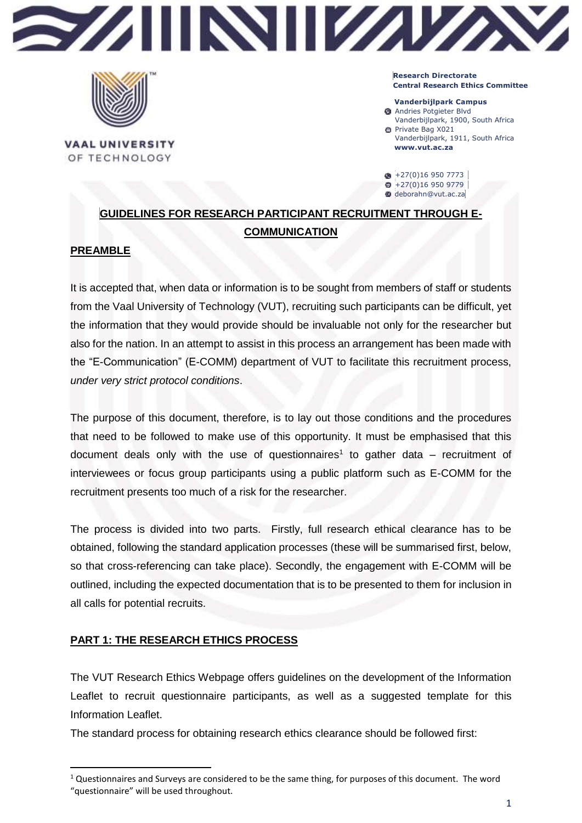



**VAAL UNIVERSITY** OF TECHNOLOGY

**Research Directorate Central Research Ethics Committee**

**Vanderbijlpark Campus Andries Potgieter Blvd** 

- Vanderbijlpark, 1900, South Africa Private Bag X021
- Vanderbijlpark, 1911, South Africa **www.vut.ac.za**

 $\bullet$  +27(0)16 950 7773  $+27(0)169509779$ deborahn@vut.ac.za

# **GUIDELINES FOR RESEARCH PARTICIPANT RECRUITMENT THROUGH E-COMMUNICATION**

### **PREAMBLE**

**.** 

It is accepted that, when data or information is to be sought from members of staff or students from the Vaal University of Technology (VUT), recruiting such participants can be difficult, yet the information that they would provide should be invaluable not only for the researcher but also for the nation. In an attempt to assist in this process an arrangement has been made with the "E-Communication" (E-COMM) department of VUT to facilitate this recruitment process, *under very strict protocol conditions*.

The purpose of this document, therefore, is to lay out those conditions and the procedures that need to be followed to make use of this opportunity. It must be emphasised that this document deals only with the use of questionnaires<sup>1</sup> to gather data  $-$  recruitment of interviewees or focus group participants using a public platform such as E-COMM for the recruitment presents too much of a risk for the researcher.

The process is divided into two parts. Firstly, full research ethical clearance has to be obtained, following the standard application processes (these will be summarised first, below, so that cross-referencing can take place). Secondly, the engagement with E-COMM will be outlined, including the expected documentation that is to be presented to them for inclusion in all calls for potential recruits.

## **PART 1: THE RESEARCH ETHICS PROCESS**

The VUT Research Ethics Webpage offers guidelines on the development of the Information Leaflet to recruit questionnaire participants, as well as a suggested template for this Information Leaflet.

The standard process for obtaining research ethics clearance should be followed first:

 $1$  Questionnaires and Surveys are considered to be the same thing, for purposes of this document. The word "questionnaire" will be used throughout.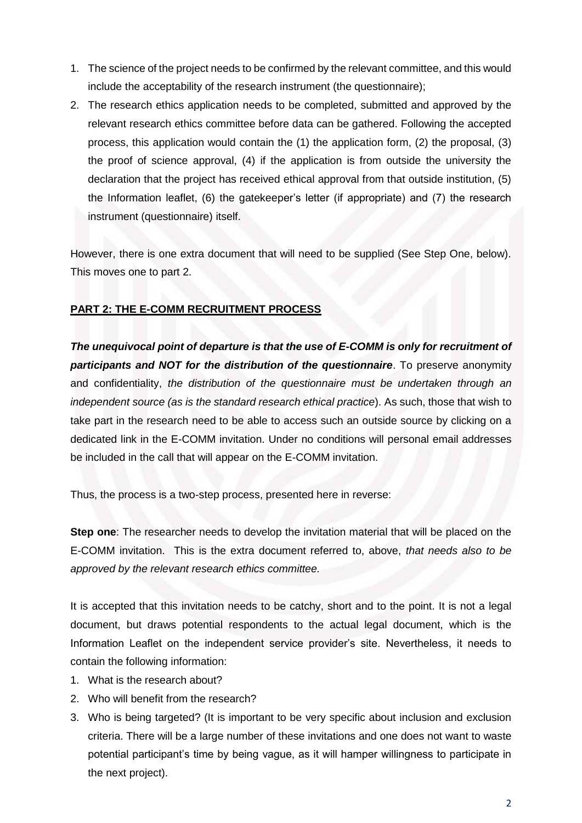- 1. The science of the project needs to be confirmed by the relevant committee, and this would include the acceptability of the research instrument (the questionnaire);
- 2. The research ethics application needs to be completed, submitted and approved by the relevant research ethics committee before data can be gathered. Following the accepted process, this application would contain the (1) the application form, (2) the proposal, (3) the proof of science approval, (4) if the application is from outside the university the declaration that the project has received ethical approval from that outside institution, (5) the Information leaflet, (6) the gatekeeper's letter (if appropriate) and (7) the research instrument (questionnaire) itself.

However, there is one extra document that will need to be supplied (See Step One, below). This moves one to part 2.

### **PART 2: THE E-COMM RECRUITMENT PROCESS**

*The unequivocal point of departure is that the use of E-COMM is only for recruitment of participants and NOT for the distribution of the questionnaire*. To preserve anonymity and confidentiality, *the distribution of the questionnaire must be undertaken through an independent source (as is the standard research ethical practice*). As such, those that wish to take part in the research need to be able to access such an outside source by clicking on a dedicated link in the E-COMM invitation. Under no conditions will personal email addresses be included in the call that will appear on the E-COMM invitation.

Thus, the process is a two-step process, presented here in reverse:

**Step one**: The researcher needs to develop the invitation material that will be placed on the E-COMM invitation. This is the extra document referred to, above, *that needs also to be approved by the relevant research ethics committee.*

It is accepted that this invitation needs to be catchy, short and to the point. It is not a legal document, but draws potential respondents to the actual legal document, which is the Information Leaflet on the independent service provider's site. Nevertheless, it needs to contain the following information:

- 1. What is the research about?
- 2. Who will benefit from the research?
- 3. Who is being targeted? (It is important to be very specific about inclusion and exclusion criteria. There will be a large number of these invitations and one does not want to waste potential participant's time by being vague, as it will hamper willingness to participate in the next project).